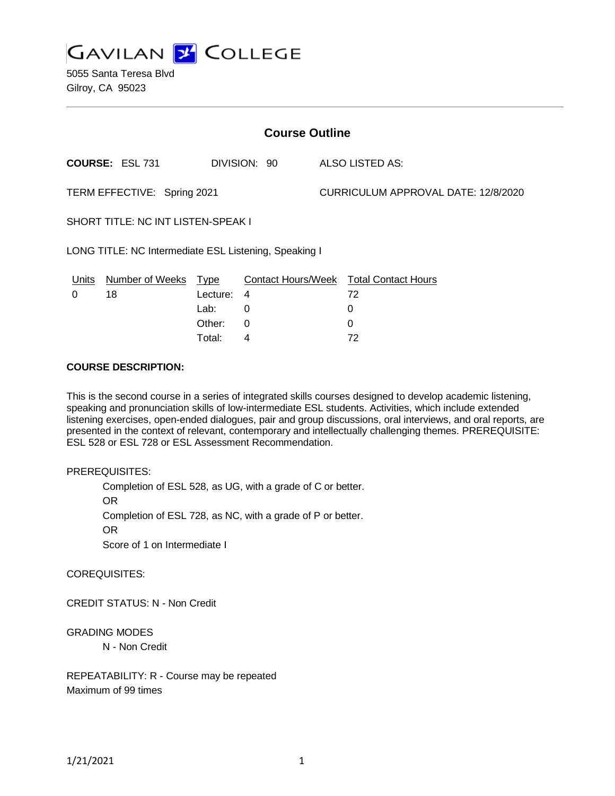

5055 Santa Teresa Blvd Gilroy, CA 95023

| <b>Course Outline</b>                                 |                        |             |              |  |                                               |  |
|-------------------------------------------------------|------------------------|-------------|--------------|--|-----------------------------------------------|--|
|                                                       | <b>COURSE: ESL 731</b> |             | DIVISION: 90 |  | ALSO LISTED AS:                               |  |
| TERM EFFECTIVE: Spring 2021                           |                        |             |              |  | CURRICULUM APPROVAL DATE: 12/8/2020           |  |
| <b>SHORT TITLE: NC INT LISTEN-SPEAK I</b>             |                        |             |              |  |                                               |  |
| LONG TITLE: NC Intermediate ESL Listening, Speaking I |                        |             |              |  |                                               |  |
| <u>Units</u>                                          | <b>Number of Weeks</b> | <u>Type</u> |              |  | <b>Contact Hours/Week Total Contact Hours</b> |  |
| 0                                                     | 18                     | Lecture:    | 4            |  | 72                                            |  |
|                                                       |                        | Lab:        | 0            |  | 0                                             |  |
|                                                       |                        | Other:      | 0            |  | 0                                             |  |
|                                                       |                        | Total:      | 4            |  | 72                                            |  |

### **COURSE DESCRIPTION:**

This is the second course in a series of integrated skills courses designed to develop academic listening, speaking and pronunciation skills of low-intermediate ESL students. Activities, which include extended listening exercises, open-ended dialogues, pair and group discussions, oral interviews, and oral reports, are presented in the context of relevant, contemporary and intellectually challenging themes. PREREQUISITE: ESL 528 or ESL 728 or ESL Assessment Recommendation.

#### PREREQUISITES:

Completion of ESL 528, as UG, with a grade of C or better.

OR

Completion of ESL 728, as NC, with a grade of P or better.

OR

Score of 1 on Intermediate I

COREQUISITES:

CREDIT STATUS: N - Non Credit

GRADING MODES

N - Non Credit

REPEATABILITY: R - Course may be repeated Maximum of 99 times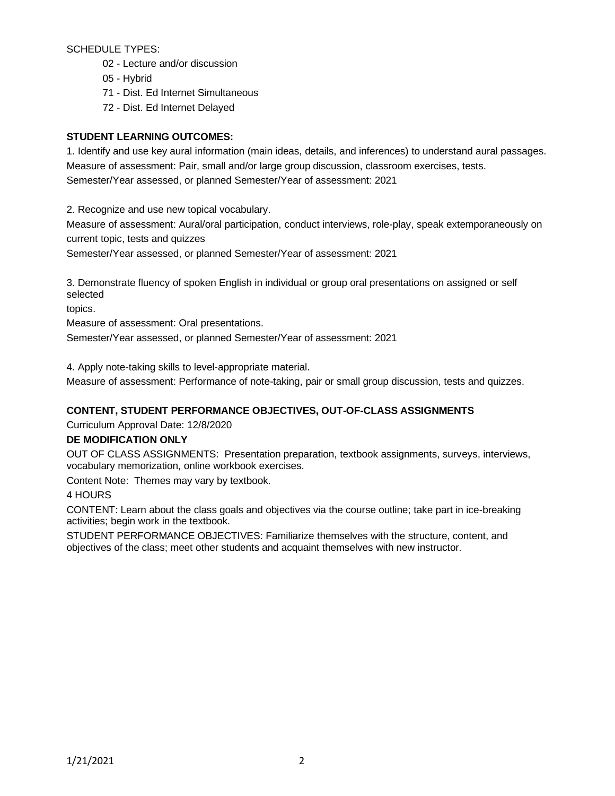SCHEDULE TYPES:

- 02 Lecture and/or discussion
- 05 Hybrid
- 71 Dist. Ed Internet Simultaneous
- 72 Dist. Ed Internet Delayed

# **STUDENT LEARNING OUTCOMES:**

1. Identify and use key aural information (main ideas, details, and inferences) to understand aural passages. Measure of assessment: Pair, small and/or large group discussion, classroom exercises, tests. Semester/Year assessed, or planned Semester/Year of assessment: 2021

2. Recognize and use new topical vocabulary.

Measure of assessment: Aural/oral participation, conduct interviews, role-play, speak extemporaneously on current topic, tests and quizzes

Semester/Year assessed, or planned Semester/Year of assessment: 2021

3. Demonstrate fluency of spoken English in individual or group oral presentations on assigned or self selected

topics.

Measure of assessment: Oral presentations.

Semester/Year assessed, or planned Semester/Year of assessment: 2021

4. Apply note-taking skills to level-appropriate material.

Measure of assessment: Performance of note-taking, pair or small group discussion, tests and quizzes.

# **CONTENT, STUDENT PERFORMANCE OBJECTIVES, OUT-OF-CLASS ASSIGNMENTS**

Curriculum Approval Date: 12/8/2020

## **DE MODIFICATION ONLY**

OUT OF CLASS ASSIGNMENTS: Presentation preparation, textbook assignments, surveys, interviews, vocabulary memorization, online workbook exercises.

Content Note: Themes may vary by textbook.

## 4 HOURS

CONTENT: Learn about the class goals and objectives via the course outline; take part in ice-breaking activities; begin work in the textbook.

STUDENT PERFORMANCE OBJECTIVES: Familiarize themselves with the structure, content, and objectives of the class; meet other students and acquaint themselves with new instructor.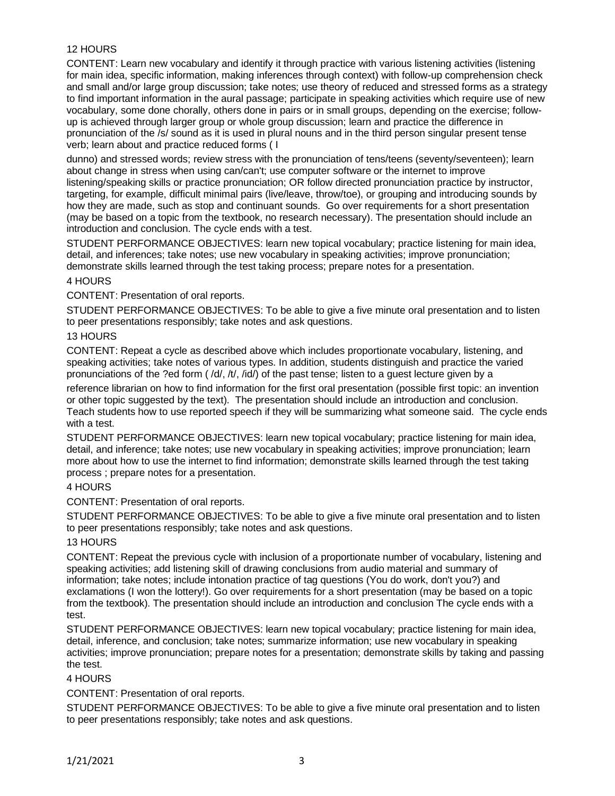# 12 HOURS

CONTENT: Learn new vocabulary and identify it through practice with various listening activities (listening for main idea, specific information, making inferences through context) with follow-up comprehension check and small and/or large group discussion; take notes; use theory of reduced and stressed forms as a strategy to find important information in the aural passage; participate in speaking activities which require use of new vocabulary, some done chorally, others done in pairs or in small groups, depending on the exercise; followup is achieved through larger group or whole group discussion; learn and practice the difference in pronunciation of the /s/ sound as it is used in plural nouns and in the third person singular present tense verb; learn about and practice reduced forms ( I

dunno) and stressed words; review stress with the pronunciation of tens/teens (seventy/seventeen); learn about change in stress when using can/can't; use computer software or the internet to improve listening/speaking skills or practice pronunciation; OR follow directed pronunciation practice by instructor, targeting, for example, difficult minimal pairs (live/leave, throw/toe), or grouping and introducing sounds by how they are made, such as stop and continuant sounds. Go over requirements for a short presentation (may be based on a topic from the textbook, no research necessary). The presentation should include an introduction and conclusion. The cycle ends with a test.

STUDENT PERFORMANCE OBJECTIVES: learn new topical vocabulary; practice listening for main idea, detail, and inferences; take notes; use new vocabulary in speaking activities; improve pronunciation; demonstrate skills learned through the test taking process; prepare notes for a presentation.

### 4 HOURS

CONTENT: Presentation of oral reports.

STUDENT PERFORMANCE OBJECTIVES: To be able to give a five minute oral presentation and to listen to peer presentations responsibly; take notes and ask questions.

#### 13 HOURS

CONTENT: Repeat a cycle as described above which includes proportionate vocabulary, listening, and speaking activities; take notes of various types. In addition, students distinguish and practice the varied pronunciations of the ?ed form ( /d/, /t/, /id/) of the past tense; listen to a guest lecture given by a

reference librarian on how to find information for the first oral presentation (possible first topic: an invention or other topic suggested by the text). The presentation should include an introduction and conclusion. Teach students how to use reported speech if they will be summarizing what someone said. The cycle ends with a test.

STUDENT PERFORMANCE OBJECTIVES: learn new topical vocabulary; practice listening for main idea, detail, and inference; take notes; use new vocabulary in speaking activities; improve pronunciation; learn more about how to use the internet to find information; demonstrate skills learned through the test taking process ; prepare notes for a presentation.

#### 4 HOURS

CONTENT: Presentation of oral reports.

STUDENT PERFORMANCE OBJECTIVES: To be able to give a five minute oral presentation and to listen to peer presentations responsibly; take notes and ask questions.

## 13 HOURS

CONTENT: Repeat the previous cycle with inclusion of a proportionate number of vocabulary, listening and speaking activities; add listening skill of drawing conclusions from audio material and summary of information; take notes; include intonation practice of tag questions (You do work, don't you?) and exclamations (I won the lottery!). Go over requirements for a short presentation (may be based on a topic from the textbook). The presentation should include an introduction and conclusion The cycle ends with a test.

STUDENT PERFORMANCE OBJECTIVES: learn new topical vocabulary; practice listening for main idea, detail, inference, and conclusion; take notes; summarize information; use new vocabulary in speaking activities; improve pronunciation; prepare notes for a presentation; demonstrate skills by taking and passing the test.

## 4 HOURS

CONTENT: Presentation of oral reports.

STUDENT PERFORMANCE OBJECTIVES: To be able to give a five minute oral presentation and to listen to peer presentations responsibly; take notes and ask questions.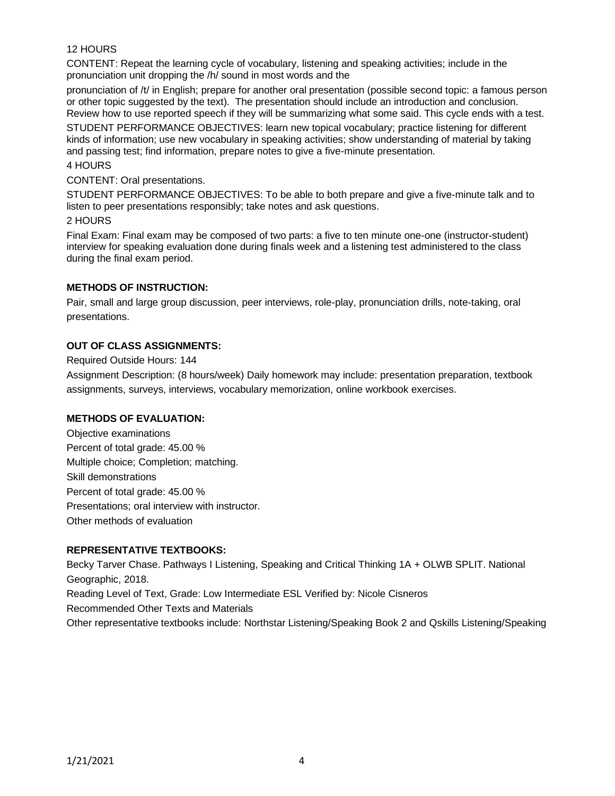## 12 HOURS

CONTENT: Repeat the learning cycle of vocabulary, listening and speaking activities; include in the pronunciation unit dropping the /h/ sound in most words and the

pronunciation of /t/ in English; prepare for another oral presentation (possible second topic: a famous person or other topic suggested by the text). The presentation should include an introduction and conclusion. Review how to use reported speech if they will be summarizing what some said. This cycle ends with a test.

STUDENT PERFORMANCE OBJECTIVES: learn new topical vocabulary; practice listening for different kinds of information; use new vocabulary in speaking activities; show understanding of material by taking and passing test; find information, prepare notes to give a five-minute presentation.

# 4 HOURS

### CONTENT: Oral presentations.

STUDENT PERFORMANCE OBJECTIVES: To be able to both prepare and give a five-minute talk and to listen to peer presentations responsibly; take notes and ask questions.

### 2 HOURS

Final Exam: Final exam may be composed of two parts: a five to ten minute one-one (instructor-student) interview for speaking evaluation done during finals week and a listening test administered to the class during the final exam period.

## **METHODS OF INSTRUCTION:**

Pair, small and large group discussion, peer interviews, role-play, pronunciation drills, note-taking, oral presentations.

## **OUT OF CLASS ASSIGNMENTS:**

Required Outside Hours: 144

Assignment Description: (8 hours/week) Daily homework may include: presentation preparation, textbook assignments, surveys, interviews, vocabulary memorization, online workbook exercises.

## **METHODS OF EVALUATION:**

Objective examinations Percent of total grade: 45.00 % Multiple choice; Completion; matching. Skill demonstrations Percent of total grade: 45.00 % Presentations; oral interview with instructor. Other methods of evaluation

## **REPRESENTATIVE TEXTBOOKS:**

Becky Tarver Chase. Pathways I Listening, Speaking and Critical Thinking 1A + OLWB SPLIT. National Geographic, 2018. Reading Level of Text, Grade: Low Intermediate ESL Verified by: Nicole Cisneros Recommended Other Texts and Materials Other representative textbooks include: Northstar Listening/Speaking Book 2 and Qskills Listening/Speaking